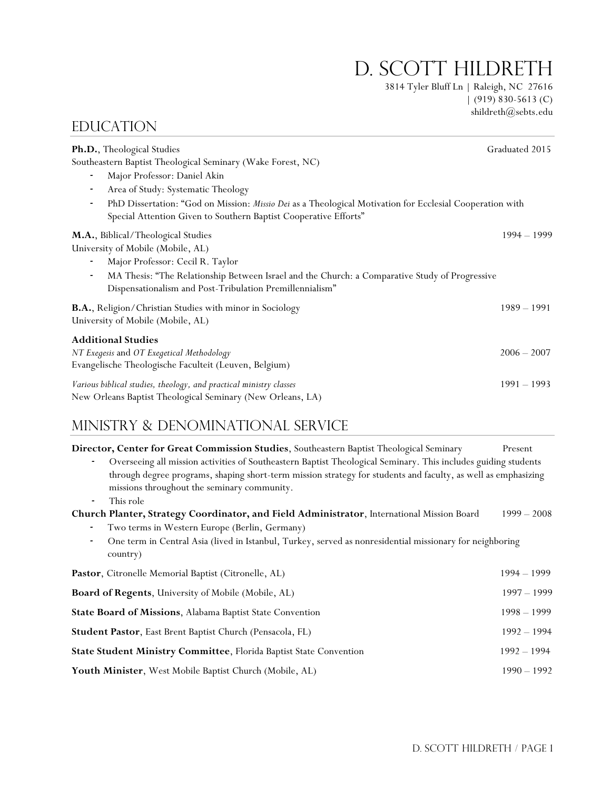D. SCOTT HILDRETH

3814 Tyler Bluff Ln | Raleigh, NC 27616  $(919) 830 - 5613$  (C) shildreth@sebts.edu

| Ph.D., Theological Studies                                                                                                                                                                               | Graduated 2015 |
|----------------------------------------------------------------------------------------------------------------------------------------------------------------------------------------------------------|----------------|
| Southeastern Baptist Theological Seminary (Wake Forest, NC)                                                                                                                                              |                |
| Major Professor: Daniel Akin<br>$\overline{\phantom{a}}$                                                                                                                                                 |                |
| Area of Study: Systematic Theology<br>$\overline{\phantom{a}}$                                                                                                                                           |                |
| PhD Dissertation: "God on Mission: Missio Dei as a Theological Motivation for Ecclesial Cooperation with<br>$\overline{\phantom{a}}$<br>Special Attention Given to Southern Baptist Cooperative Efforts" |                |
| M.A., Biblical/Theological Studies                                                                                                                                                                       | $1994 - 1999$  |
| University of Mobile (Mobile, AL)                                                                                                                                                                        |                |
| Major Professor: Cecil R. Taylor                                                                                                                                                                         |                |
| MA Thesis: "The Relationship Between Israel and the Church: a Comparative Study of Progressive<br>$\overline{\phantom{a}}$<br>Dispensationalism and Post-Tribulation Premillennialism"                   |                |
| B.A., Religion/Christian Studies with minor in Sociology<br>University of Mobile (Mobile, AL)                                                                                                            | $1989 - 1991$  |
| <b>Additional Studies</b>                                                                                                                                                                                |                |
| NT Exegesis and OT Exegetical Methodology<br>Evangelische Theologische Faculteit (Leuven, Belgium)                                                                                                       | $2006 - 2007$  |
| Various biblical studies, theology, and practical ministry classes<br>New Orleans Baptist Theological Seminary (New Orleans, LA)                                                                         | $1991 - 1993$  |

# Ministry & Denominational Service

**EDUCATION** 

| Director, Center for Great Commission Studies, Southeastern Baptist Theological Seminary                                                                                                                                                                                                                   | Present       |
|------------------------------------------------------------------------------------------------------------------------------------------------------------------------------------------------------------------------------------------------------------------------------------------------------------|---------------|
| Overseeing all mission activities of Southeastern Baptist Theological Seminary. This includes guiding students<br>$\overline{\phantom{a}}$<br>through degree programs, shaping short-term mission strategy for students and faculty, as well as emphasizing<br>missions throughout the seminary community. |               |
| This role<br>$\overline{\phantom{a}}$                                                                                                                                                                                                                                                                      |               |
| Church Planter, Strategy Coordinator, and Field Administrator, International Mission Board                                                                                                                                                                                                                 | $1999 - 2008$ |
| Two terms in Western Europe (Berlin, Germany)                                                                                                                                                                                                                                                              |               |
| One term in Central Asia (lived in Istanbul, Turkey, served as nonresidential missionary for neighboring<br>٠<br>country)                                                                                                                                                                                  |               |
| Pastor, Citronelle Memorial Baptist (Citronelle, AL)                                                                                                                                                                                                                                                       | $1994 - 1999$ |
| Board of Regents, University of Mobile (Mobile, AL)                                                                                                                                                                                                                                                        | $1997 - 1999$ |
| <b>State Board of Missions, Alabama Baptist State Convention</b>                                                                                                                                                                                                                                           | $1998 - 1999$ |
| Student Pastor, East Brent Baptist Church (Pensacola, FL)                                                                                                                                                                                                                                                  | $1992 - 1994$ |
| State Student Ministry Committee, Florida Baptist State Convention                                                                                                                                                                                                                                         | $1992 - 1994$ |
| Youth Minister, West Mobile Baptist Church (Mobile, AL)                                                                                                                                                                                                                                                    | $1990 - 1992$ |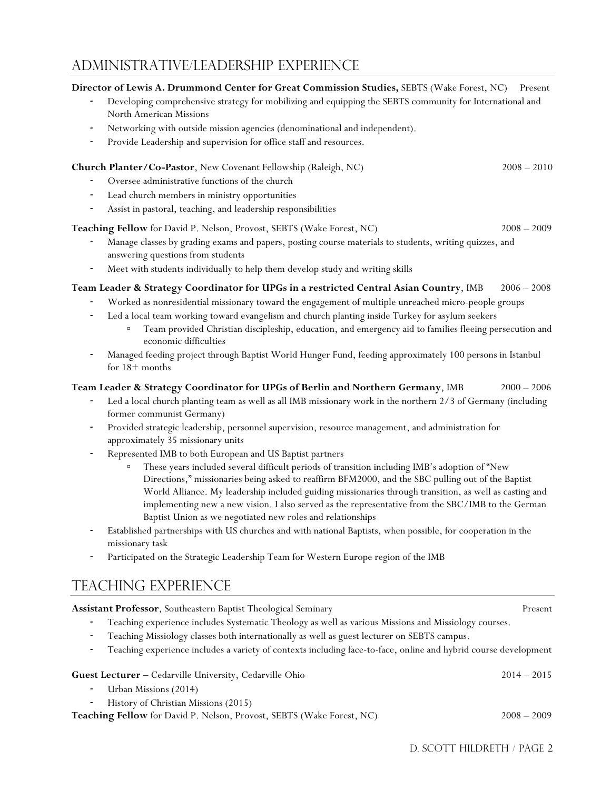# Administrative/leadership Experience

## **Director of Lewis A. Drummond Center for Great Commission Studies,** SEBTS (Wake Forest, NC) Present

- *-* Developing comprehensive strategy for mobilizing and equipping the SEBTS community for International and North American Missions
- *-* Networking with outside mission agencies (denominational and independent).
- Provide Leadership and supervision for office staff and resources.

## **Church Planter/Co-Pastor**, New Covenant Fellowship (Raleigh, NC) 2008 – 2010

- *-* Oversee administrative functions of the church
- *-* Lead church members in ministry opportunities
- *-* Assist in pastoral, teaching, and leadership responsibilities

**Teaching Fellow** for David P. Nelson, Provost, SEBTS (Wake Forest, NC) 2008 – 2009 – 2009

- *-* Manage classes by grading exams and papers, posting course materials to students, writing quizzes, and
- answering questions from students
- *-* Meet with students individually to help them develop study and writing skills

## **Team Leader & Strategy Coordinator for UPGs in a restricted Central Asian Country**, IMB 2006 – 2008

- *-* Worked as nonresidential missionary toward the engagement of multiple unreached micro-people groups
- Led a local team working toward evangelism and church planting inside Turkey for asylum seekers
	- Team provided Christian discipleship, education, and emergency aid to families fleeing persecution and economic difficulties
- *-* Managed feeding project through Baptist World Hunger Fund, feeding approximately 100 persons in Istanbul for 18+ months

## **Team Leader & Strategy Coordinator for UPGs of Berlin and Northern Germany**, IMB 2000 – 2006

- *-* Led a local church planting team as well as all IMB missionary work in the northern 2/3 of Germany (including former communist Germany)
- *-* Provided strategic leadership, personnel supervision, resource management, and administration for approximately 35 missionary units
- *-* Represented IMB to both European and US Baptist partners
	- These years included several difficult periods of transition including IMB's adoption of "New Directions," missionaries being asked to reaffirm BFM2000, and the SBC pulling out of the Baptist World Alliance. My leadership included guiding missionaries through transition, as well as casting and implementing new a new vision. I also served as the representative from the SBC/IMB to the German Baptist Union as we negotiated new roles and relationships
- *-* Established partnerships with US churches and with national Baptists, when possible, for cooperation in the missionary task
- *-* Participated on the Strategic Leadership Team for Western Europe region of the IMB

# Teaching Experience

| Assistant Professor, Southeastern Baptist Theological Seminary                                                       | Present       |
|----------------------------------------------------------------------------------------------------------------------|---------------|
| Teaching experience includes Systematic Theology as well as various Missions and Missiology courses.<br>۰.           |               |
| Teaching Missiology classes both internationally as well as guest lecturer on SEBTS campus.                          |               |
| Teaching experience includes a variety of contexts including face-to-face, online and hybrid course development<br>٠ |               |
| Guest Lecturer - Cedarville University, Cedarville Ohio<br>Urban Missions (2014)<br>۰                                | $2014 - 2015$ |
| History of Christian Missions (2015)<br>-                                                                            |               |
| Teaching Fellow for David P. Nelson, Provost, SEBTS (Wake Forest, NC)                                                | $2008 - 2009$ |
|                                                                                                                      |               |